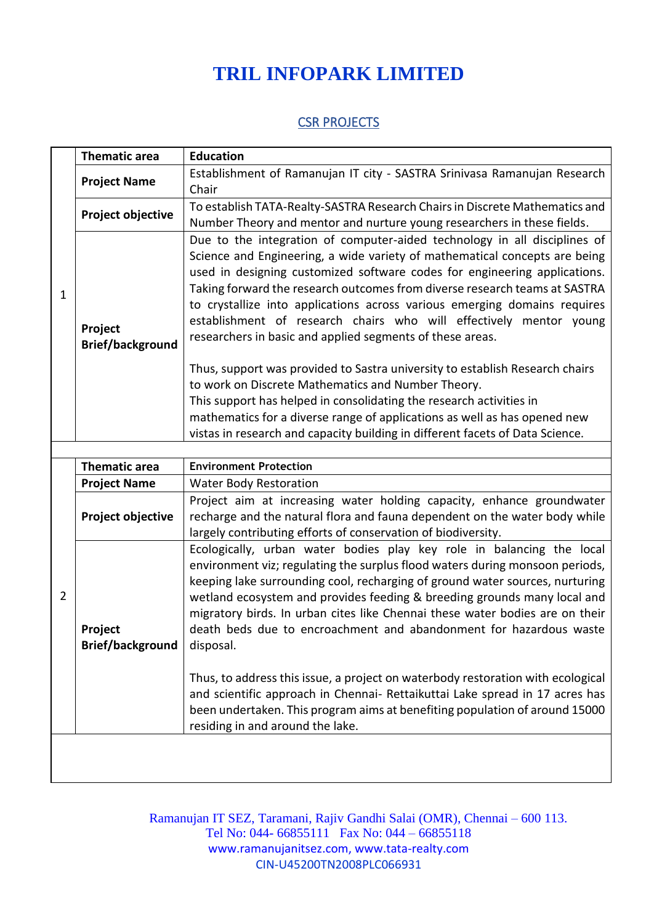## **TRIL INFOPARK LIMITED**

## **CSR PROJECTS**

| $\mathbf{1}$   | <b>Thematic area</b>               | <b>Education</b>                                                                                                                                                                                                                                                                                                                                                                                                                                                                                                                                                                                                                                        |  |  |
|----------------|------------------------------------|---------------------------------------------------------------------------------------------------------------------------------------------------------------------------------------------------------------------------------------------------------------------------------------------------------------------------------------------------------------------------------------------------------------------------------------------------------------------------------------------------------------------------------------------------------------------------------------------------------------------------------------------------------|--|--|
|                | <b>Project Name</b>                | Establishment of Ramanujan IT city - SASTRA Srinivasa Ramanujan Research<br>Chair                                                                                                                                                                                                                                                                                                                                                                                                                                                                                                                                                                       |  |  |
|                | Project objective                  | To establish TATA-Realty-SASTRA Research Chairs in Discrete Mathematics and<br>Number Theory and mentor and nurture young researchers in these fields.                                                                                                                                                                                                                                                                                                                                                                                                                                                                                                  |  |  |
|                | Project<br><b>Brief/background</b> | Due to the integration of computer-aided technology in all disciplines of<br>Science and Engineering, a wide variety of mathematical concepts are being<br>used in designing customized software codes for engineering applications.<br>Taking forward the research outcomes from diverse research teams at SASTRA<br>to crystallize into applications across various emerging domains requires<br>establishment of research chairs who will effectively mentor young<br>researchers in basic and applied segments of these areas.                                                                                                                      |  |  |
|                |                                    | Thus, support was provided to Sastra university to establish Research chairs<br>to work on Discrete Mathematics and Number Theory.<br>This support has helped in consolidating the research activities in<br>mathematics for a diverse range of applications as well as has opened new<br>vistas in research and capacity building in different facets of Data Science.                                                                                                                                                                                                                                                                                 |  |  |
|                |                                    |                                                                                                                                                                                                                                                                                                                                                                                                                                                                                                                                                                                                                                                         |  |  |
| $\overline{2}$ | <b>Thematic area</b>               | <b>Environment Protection</b>                                                                                                                                                                                                                                                                                                                                                                                                                                                                                                                                                                                                                           |  |  |
|                | <b>Project Name</b>                | <b>Water Body Restoration</b>                                                                                                                                                                                                                                                                                                                                                                                                                                                                                                                                                                                                                           |  |  |
|                | Project objective                  | Project aim at increasing water holding capacity, enhance groundwater<br>recharge and the natural flora and fauna dependent on the water body while<br>largely contributing efforts of conservation of biodiversity.                                                                                                                                                                                                                                                                                                                                                                                                                                    |  |  |
|                | Project<br><b>Brief/background</b> | Ecologically, urban water bodies play key role in balancing the local<br>environment viz; regulating the surplus flood waters during monsoon periods,<br>keeping lake surrounding cool, recharging of ground water sources, nurturing<br>wetland ecosystem and provides feeding & breeding grounds many local and<br>migratory birds. In urban cites like Chennai these water bodies are on their<br>death beds due to encroachment and abandonment for hazardous waste<br>disposal.<br>Thus, to address this issue, a project on waterbody restoration with ecological<br>and scientific approach in Chennai- Rettaikuttai Lake spread in 17 acres has |  |  |
|                |                                    | been undertaken. This program aims at benefiting population of around 15000<br>residing in and around the lake.                                                                                                                                                                                                                                                                                                                                                                                                                                                                                                                                         |  |  |
|                |                                    |                                                                                                                                                                                                                                                                                                                                                                                                                                                                                                                                                                                                                                                         |  |  |

Ramanujan IT SEZ, Taramani, Rajiv Gandhi Salai (OMR), Chennai – 600 113. Tel No: 044- 66855111 Fax No: 044 – 66855118 www.ramanujanitsez.com, www.tata-realty.com CIN-U45200TN2008PLC066931